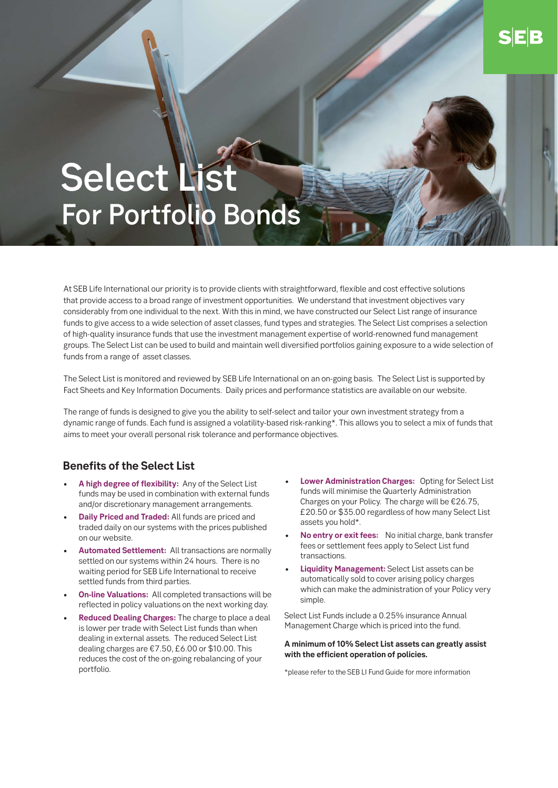# Select List For Portfolio Bonds

At SEB Life International our priority is to provide clients with straightforward, flexible and cost effective solutions that provide access to a broad range of investment opportunities. We understand that investment objectives vary considerably from one individual to the next. With this in mind, we have constructed our Select List range of insurance funds to give access to a wide selection of asset classes, fund types and strategies. The Select List comprises a selection of high-quality insurance funds that use the investment management expertise of world-renowned fund management groups. The Select List can be used to build and maintain well diversified portfolios gaining exposure to a wide selection of funds from a range of asset classes.

The Select List is monitored and reviewed by SEB Life International on an on-going basis. The Select List is supported by Fact Sheets and Key Information Documents. Daily prices and performance statistics are available on our website.

The range of funds is designed to give you the ability to self-select and tailor your own investment strategy from a dynamic range of funds. Each fund is assigned a volatility-based risk-ranking\*. This allows you to select a mix of funds that aims to meet your overall personal risk tolerance and performance objectives.

### **Benefits of the Select List**

- **A high degree of flexibility:** Any of the Select List funds may be used in combination with external funds and/or discretionary management arrangements.
- **Daily Priced and Traded:** All funds are priced and traded daily on our systems with the prices published on our website.
- **Automated Settlement:** All transactions are normally settled on our systems within 24 hours. There is no waiting period for SEB Life International to receive settled funds from third parties.
- **On-line Valuations:** All completed transactions will be reflected in policy valuations on the next working day.
- **Reduced Dealing Charges:** The charge to place a deal is lower per trade with Select List funds than when dealing in external assets. The reduced Select List dealing charges are €7.50, £6.00 or \$10.00. This reduces the cost of the on-going rebalancing of your portfolio.
- **Lower Administration Charges:** Opting for Select List funds will minimise the Quarterly Administration Charges on your Policy. The charge will be €26.75, £20.50 or \$35.00 regardless of how many Select List assets you hold\*.
- **No entry or exit fees:** No initial charge, bank transfer fees or settlement fees apply to Select List fund transactions.
- **Liquidity Management:** Select List assets can be automatically sold to cover arising policy charges which can make the administration of your Policy very simple.

Select List Funds include a 0.25% insurance Annual Management Charge which is priced into the fund.

#### **A minimum of 10% Select List assets can greatly assist with the efficient operation of policies.**

\*please refer to the SEB LI Fund Guide for more information